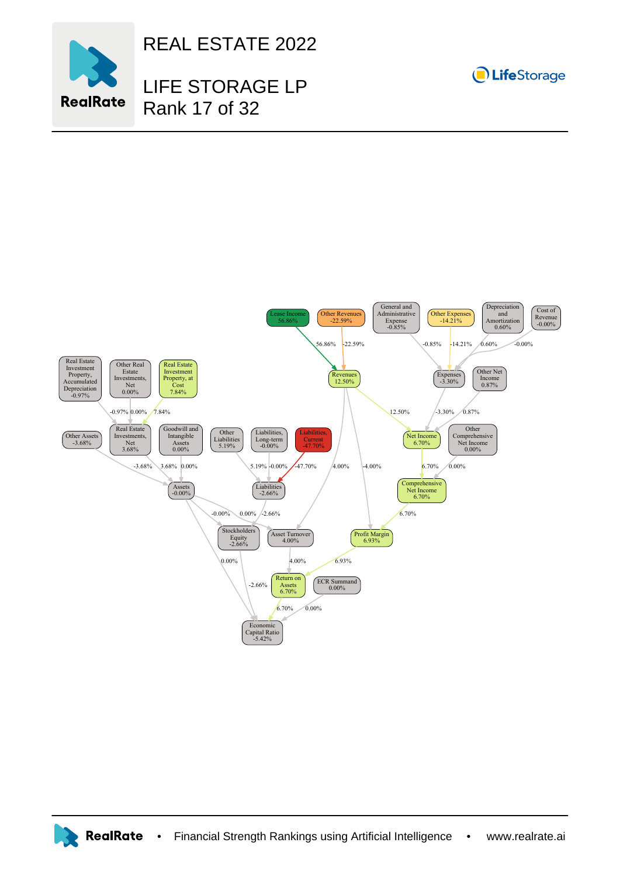

REAL ESTATE 2022

## LIFE STORAGE LP Rank 17 of 32